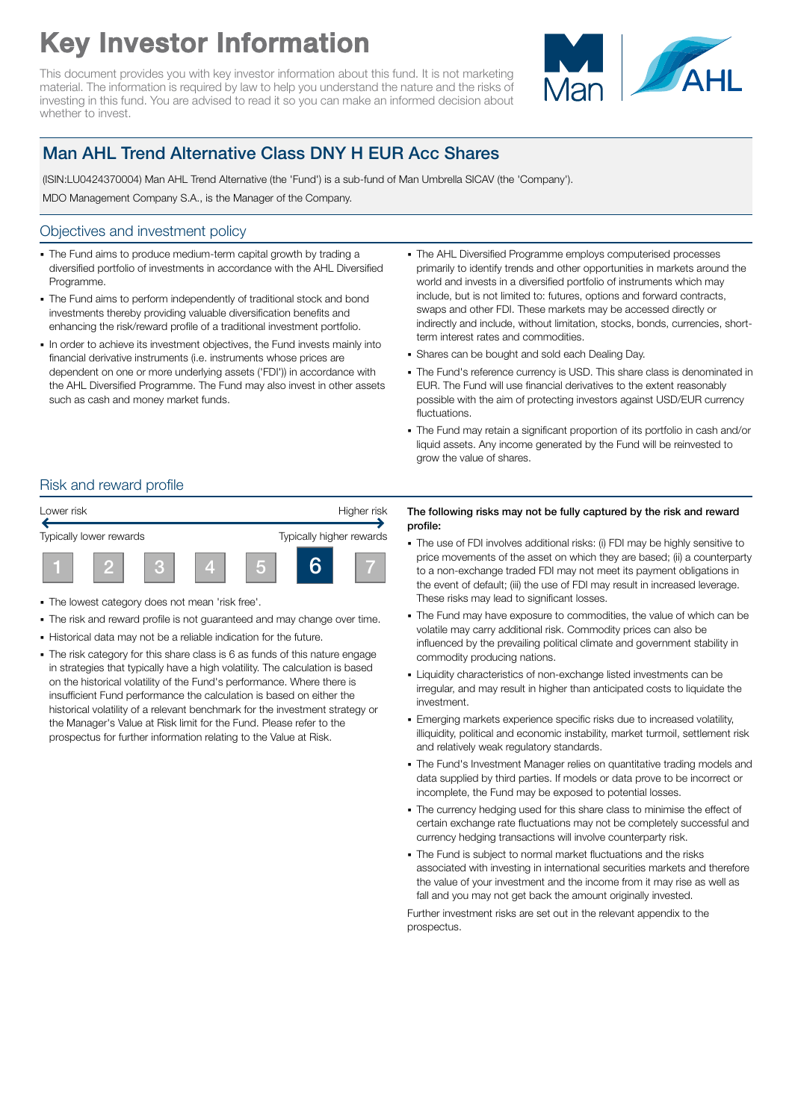# Key Investor Information

This document provides you with key investor information about this fund. It is not marketing material. The information is required by law to help you understand the nature and the risks of investing in this fund. You are advised to read it so you can make an informed decision about whether to invest.



## Man AHL Trend Alternative Class DNY H EUR Acc Shares

(ISIN:LU0424370004) Man AHL Trend Alternative (the 'Fund') is a sub-fund of Man Umbrella SICAV (the 'Company'). MDO Management Company S.A., is the Manager of the Company.

## Objectives and investment policy

- The Fund aims to produce medium-term capital growth by trading a diversified portfolio of investments in accordance with the AHL Diversified Programme.
- The Fund aims to perform independently of traditional stock and bond investments thereby providing valuable diversification benefits and enhancing the risk/reward profile of a traditional investment portfolio.
- In order to achieve its investment objectives, the Fund invests mainly into financial derivative instruments (i.e. instruments whose prices are dependent on one or more underlying assets ('FDI')) in accordance with the AHL Diversified Programme. The Fund may also invest in other assets such as cash and money market funds.
- The AHL Diversified Programme employs computerised processes primarily to identify trends and other opportunities in markets around the world and invests in a diversified portfolio of instruments which may include, but is not limited to: futures, options and forward contracts, swaps and other FDI. These markets may be accessed directly or indirectly and include, without limitation, stocks, bonds, currencies, shortterm interest rates and commodities.
- Shares can be bought and sold each Dealing Day.
- The Fund's reference currency is USD. This share class is denominated in EUR. The Fund will use financial derivatives to the extent reasonably possible with the aim of protecting investors against USD/EUR currency fluctuations.
- 1 The Fund may retain a significant proportion of its portfolio in cash and/or liquid assets. Any income generated by the Fund will be reinvested to grow the value of shares.

## Risk and reward profile



- 1 The lowest category does not mean 'risk free'.
- The risk and reward profile is not guaranteed and may change over time.
- Historical data may not be a reliable indication for the future.
- The risk category for this share class is 6 as funds of this nature engage in strategies that typically have a high volatility. The calculation is based on the historical volatility of the Fund's performance. Where there is insufficient Fund performance the calculation is based on either the historical volatility of a relevant benchmark for the investment strategy or the Manager's Value at Risk limit for the Fund. Please refer to the prospectus for further information relating to the Value at Risk.

#### The following risks may not be fully captured by the risk and reward profile:

- The use of FDI involves additional risks: (i) FDI may be highly sensitive to price movements of the asset on which they are based; (ii) a counterparty to a non-exchange traded FDI may not meet its payment obligations in the event of default; (iii) the use of FDI may result in increased leverage. These risks may lead to significant losses.
- The Fund may have exposure to commodities, the value of which can be volatile may carry additional risk. Commodity prices can also be influenced by the prevailing political climate and government stability in commodity producing nations.
- 1 Liquidity characteristics of non-exchange listed investments can be irregular, and may result in higher than anticipated costs to liquidate the investment.
- Emerging markets experience specific risks due to increased volatility, illiquidity, political and economic instability, market turmoil, settlement risk and relatively weak regulatory standards.
- The Fund's Investment Manager relies on quantitative trading models and data supplied by third parties. If models or data prove to be incorrect or incomplete, the Fund may be exposed to potential losses.
- The currency hedging used for this share class to minimise the effect of certain exchange rate fluctuations may not be completely successful and currency hedging transactions will involve counterparty risk.
- The Fund is subject to normal market fluctuations and the risks associated with investing in international securities markets and therefore the value of your investment and the income from it may rise as well as fall and you may not get back the amount originally invested.

Further investment risks are set out in the relevant appendix to the prospectus.